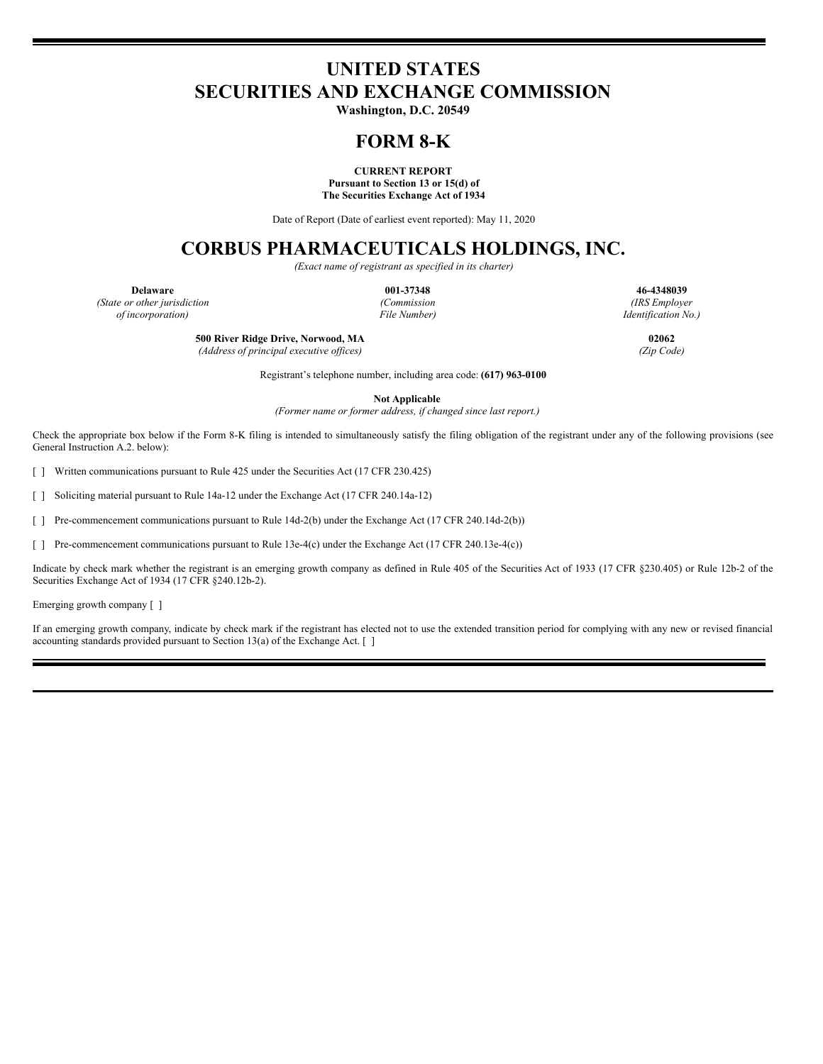# **UNITED STATES SECURITIES AND EXCHANGE COMMISSION**

**Washington, D.C. 20549**

# **FORM 8-K**

**CURRENT REPORT Pursuant to Section 13 or 15(d) of The Securities Exchange Act of 1934**

Date of Report (Date of earliest event reported): May 11, 2020

# **CORBUS PHARMACEUTICALS HOLDINGS, INC.**

*(Exact name of registrant as specified in its charter)*

*(State or other jurisdiction (Commission (IRS Employer of incorporation) File Number) Identification No.)*

**Delaware 001-37348 46-4348039**

**500 River Ridge Drive, Norwood, MA 02062**

*(Address of principal executive of ices) (Zip Code)*

Registrant's telephone number, including area code: **(617) 963-0100**

**Not Applicable**

*(Former name or former address, if changed since last report.)*

Check the appropriate box below if the Form 8-K filing is intended to simultaneously satisfy the filing obligation of the registrant under any of the following provisions (see General Instruction A.2. below):

[ ] Written communications pursuant to Rule 425 under the Securities Act (17 CFR 230.425)

[ ] Soliciting material pursuant to Rule 14a-12 under the Exchange Act (17 CFR 240.14a-12)

[ ] Pre-commencement communications pursuant to Rule 14d-2(b) under the Exchange Act (17 CFR 240.14d-2(b))

[ ] Pre-commencement communications pursuant to Rule 13e-4(c) under the Exchange Act (17 CFR 240.13e-4(c))

Indicate by check mark whether the registrant is an emerging growth company as defined in Rule 405 of the Securities Act of 1933 (17 CFR §230.405) or Rule 12b-2 of the Securities Exchange Act of 1934 (17 CFR §240.12b-2).

Emerging growth company [ ]

If an emerging growth company, indicate by check mark if the registrant has elected not to use the extended transition period for complying with any new or revised financial accounting standards provided pursuant to Section 13(a) of the Exchange Act. [ ]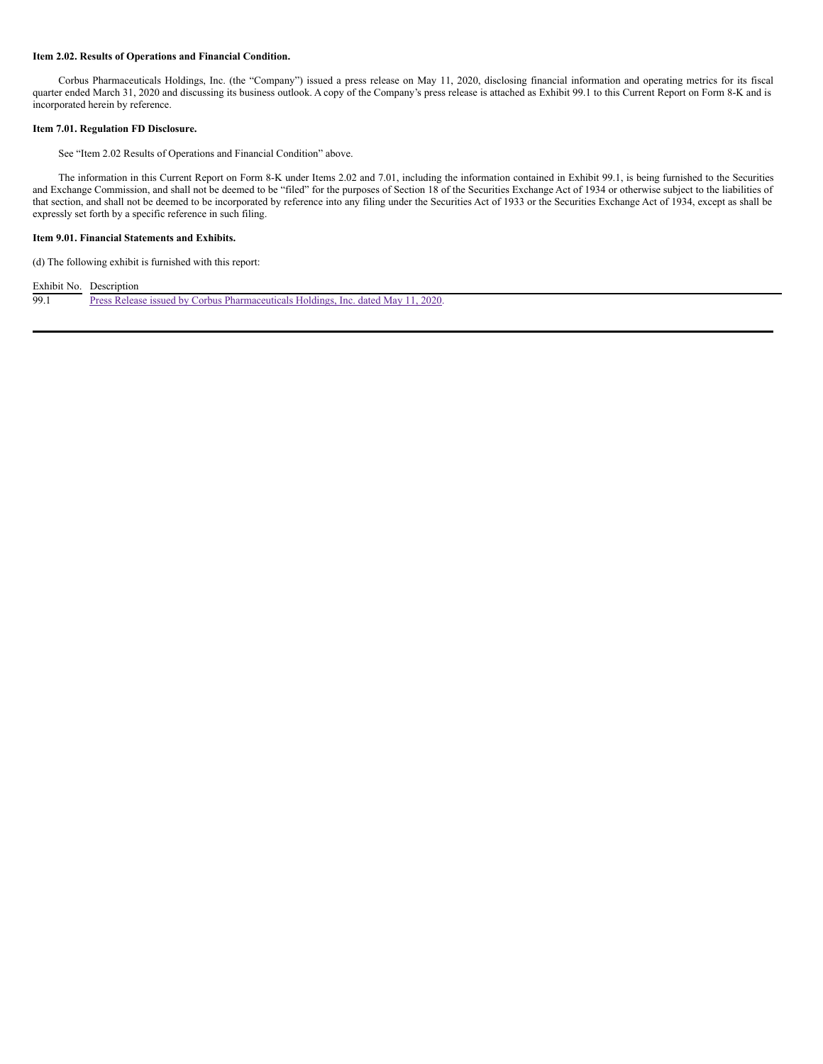#### **Item 2.02. Results of Operations and Financial Condition.**

Corbus Pharmaceuticals Holdings, Inc. (the "Company") issued a press release on May 11, 2020, disclosing financial information and operating metrics for its fiscal quarter ended March 31, 2020 and discussing its business outlook. A copy of the Company's press release is attached as Exhibit 99.1 to this Current Report on Form 8-K and is incorporated herein by reference.

#### **Item 7.01. Regulation FD Disclosure.**

See "Item 2.02 Results of Operations and Financial Condition" above.

The information in this Current Report on Form 8-K under Items 2.02 and 7.01, including the information contained in Exhibit 99.1, is being furnished to the Securities and Exchange Commission, and shall not be deemed to be "filed" for the purposes of Section 18 of the Securities Exchange Act of 1934 or otherwise subject to the liabilities of that section, and shall not be deemed to be incorporated by reference into any filing under the Securities Act of 1933 or the Securities Exchange Act of 1934, except as shall be expressly set forth by a specific reference in such filing.

## **Item 9.01. Financial Statements and Exhibits.**

(d) The following exhibit is furnished with this report:

## Exhibit No. Description

99.1 Press Release issued by Corbus [Pharmaceuticals](#page-6-0) Holdings, Inc. dated May 11, 2020.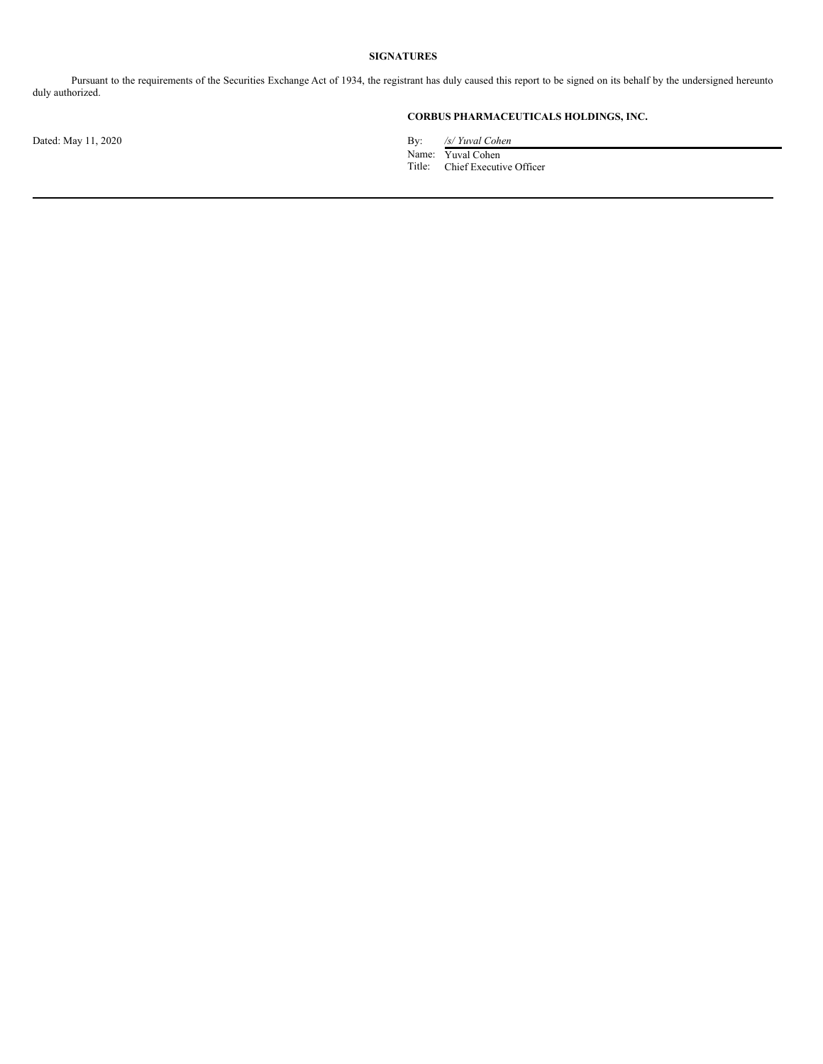## **SIGNATURES**

Pursuant to the requirements of the Securities Exchange Act of 1934, the registrant has duly caused this report to be signed on its behalf by the undersigned hereunto duly authorized.

## **CORBUS PHARMACEUTICALS HOLDINGS, INC.**

Dated: May 11, 2020 **By:** */s/ Yuval Cohen* 

Name: Yuval Cohen Title: Chief Executive Officer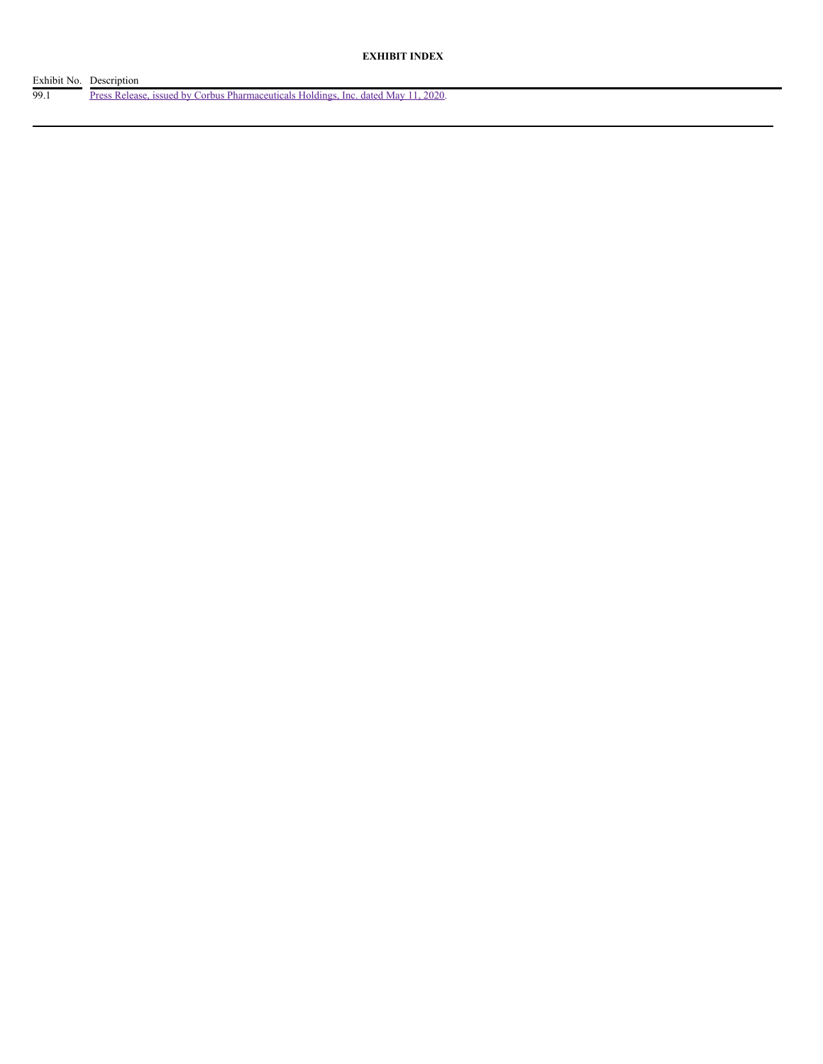| Exhibit No. Description |                                                                                    |
|-------------------------|------------------------------------------------------------------------------------|
| 99.1                    | Press Release, issued by Corbus Pharmaceuticals Holdings, Inc. dated May 11, 2020. |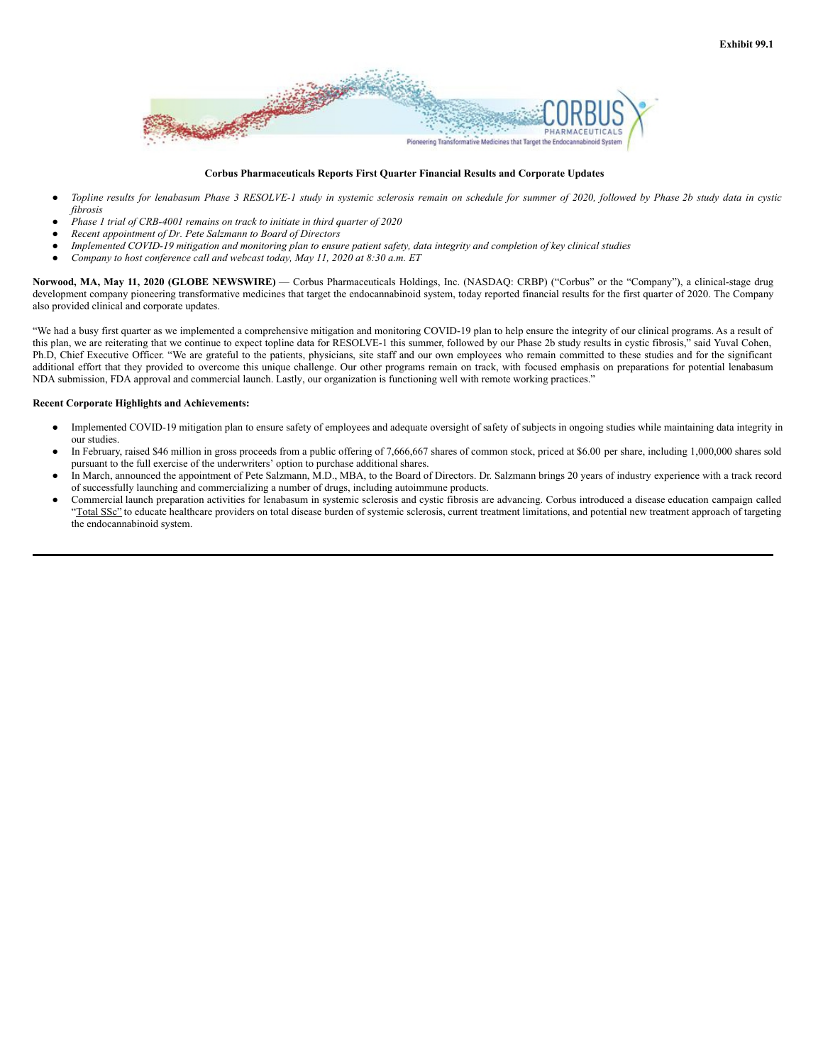

### **Corbus Pharmaceuticals Reports First Quarter Financial Results and Corporate Updates**

- Topline results for lenabasum Phase 3 RESOLVE-1 study in systemic sclerosis remain on schedule for summer of 2020, followed by Phase 2b study data in cystic *fibrosis*
- *Phase 1 trial of CRB-4001 remains on track to initiate in third quarter of 2020*
- *Recent appointment of Dr. Pete Salzmann to Board of Directors*
- Implemented COVID-19 mitigation and monitoring plan to ensure patient safety, data integrity and completion of key clinical studies
- *Company to host conference call and webcast today, May 11, 2020 at 8:30 a.m. ET*

**Norwood, MA, May 11, 2020 (GLOBE NEWSWIRE)** — Corbus Pharmaceuticals Holdings, Inc. (NASDAQ: CRBP) ("Corbus" or the "Company"), a clinical-stage drug development company pioneering transformative medicines that target the endocannabinoid system, today reported financial results for the first quarter of 2020. The Company also provided clinical and corporate updates.

"We had a busy first quarter as we implemented a comprehensive mitigation and monitoring COVID-19 plan to help ensure the integrity of our clinical programs. As a result of this plan, we are reiterating that we continue to expect topline data for RESOLVE-1 this summer, followed by our Phase 2b study results in cystic fibrosis," said Yuval Cohen, Ph.D, Chief Executive Officer. "We are grateful to the patients, physicians, site staff and our own employees who remain committed to these studies and for the significant additional effort that they provided to overcome this unique challenge. Our other programs remain on track, with focused emphasis on preparations for potential lenabasum NDA submission, FDA approval and commercial launch. Lastly, our organization is functioning well with remote working practices."

### **Recent Corporate Highlights and Achievements:**

- Implemented COVID-19 mitigation plan to ensure safety of employees and adequate oversight of safety of subjects in ongoing studies while maintaining data integrity in our studies.
- In February, raised \$46 million in gross proceeds from a public offering of 7,666,667 shares of common stock, priced at \$6.00 per share, including 1,000,000 shares sold pursuant to the full exercise of the underwriters' option to purchase additional shares.
- In March, announced the appointment of Pete Salzmann, M.D., MBA, to the Board of Directors. Dr. Salzmann brings 20 years of industry experience with a track record of successfully launching and commercializing a number of drugs, including autoimmune products.
- Commercial launch preparation activities for lenabasum in systemic sclerosis and cystic fibrosis are advancing. Corbus introduced a disease education campaign called "Total SSc" to educate healthcare providers on total disease burden of systemic sclerosis, current treatment limitations, and potential new treatment approach of targeting the endocannabinoid system.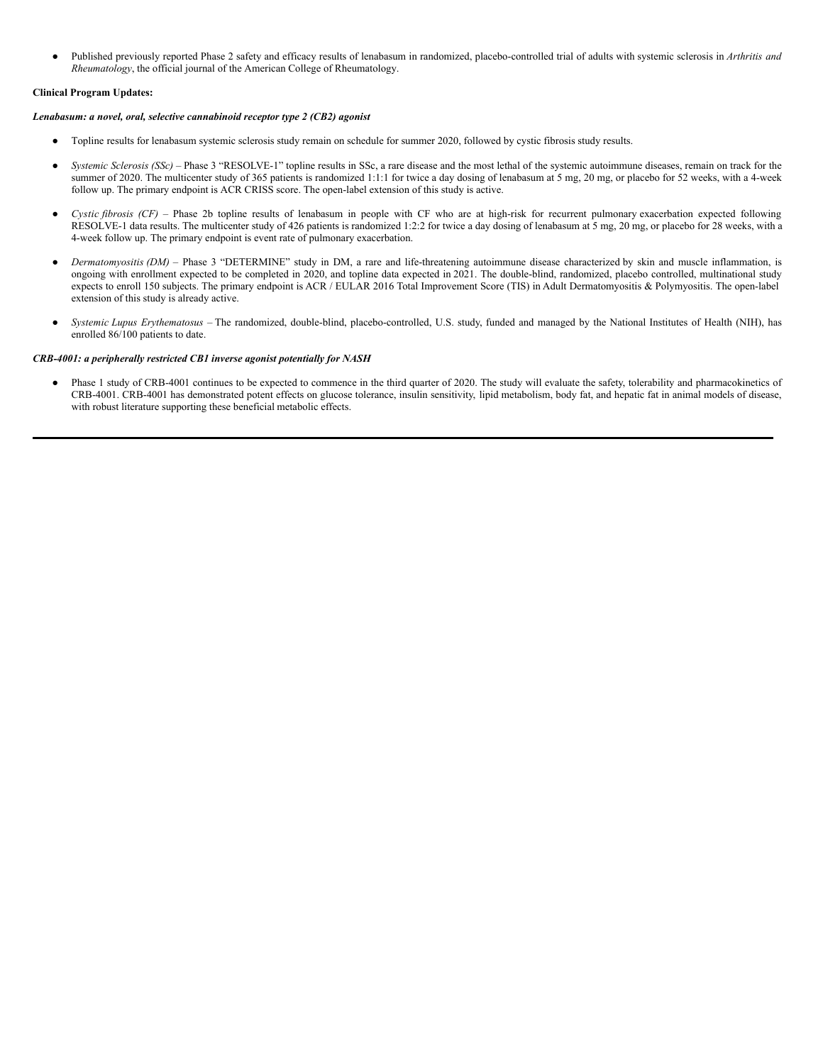● Published previously reported Phase 2 safety and efficacy results of lenabasum in randomized, placebo-controlled trial of adults with systemic sclerosis in *Arthritis and Rheumatology*, the official journal of the American College of Rheumatology.

## **Clinical Program Updates:**

### *Lenabasum: a novel, oral, selective cannabinoid receptor type 2 (CB2) agonist*

- Topline results for lenabasum systemic sclerosis study remain on schedule for summer 2020, followed by cystic fibrosis study results.
- *Systemic Sclerosis* (SSc) Phase 3 "RESOLVE-1" topline results in SSc, a rare disease and the most lethal of the systemic autoimmune diseases, remain on track for the summer of 2020. The multicenter study of 365 patients is randomized 1:1:1 for twice a day dosing of lenabasum at 5 mg, 20 mg, or placebo for 52 weeks, with a 4-week follow up. The primary endpoint is ACR CRISS score. The open-label extension of this study is active.
- *Cystic fibrosis (CF) –* Phase 2b topline results of lenabasum in people with CF who are at high-risk for recurrent pulmonary exacerbation expected following RESOLVE-1 data results. The multicenter study of 426 patients is randomized 1:2:2 for twice a day dosing of lenabasum at 5 mg, 20 mg, or placebo for 28 weeks, with a 4-week follow up. The primary endpoint is event rate of pulmonary exacerbation.
- *Dermatomyositis* (*DM*) Phase 3 "DETERMINE" study in DM, a rare and life-threatening autoimmune disease characterized by skin and muscle inflammation, is ongoing with enrollment expected to be completed in 2020, and topline data expected in 2021. The double-blind, randomized, placebo controlled, multinational study expects to enroll 150 subjects. The primary endpoint is ACR / EULAR 2016 Total Improvement Score (TIS) in Adult Dermatomyositis & Polymyositis. The open-label extension of this study is already active.
- Systemic Lupus Erythematosus The randomized, double-blind, placebo-controlled, U.S. study, funded and managed by the National Institutes of Health (NIH), has enrolled 86/100 patients to date.

### *CRB-4001: a peripherally restricted CB1 inverse agonist potentially for NASH*

● Phase 1 study of CRB-4001 continues to be expected to commence in the third quarter of 2020. The study will evaluate the safety, tolerability and pharmacokinetics of CRB-4001. CRB-4001 has demonstrated potent effects on glucose tolerance, insulin sensitivity, lipid metabolism, body fat, and hepatic fat in animal models of disease, with robust literature supporting these beneficial metabolic effects.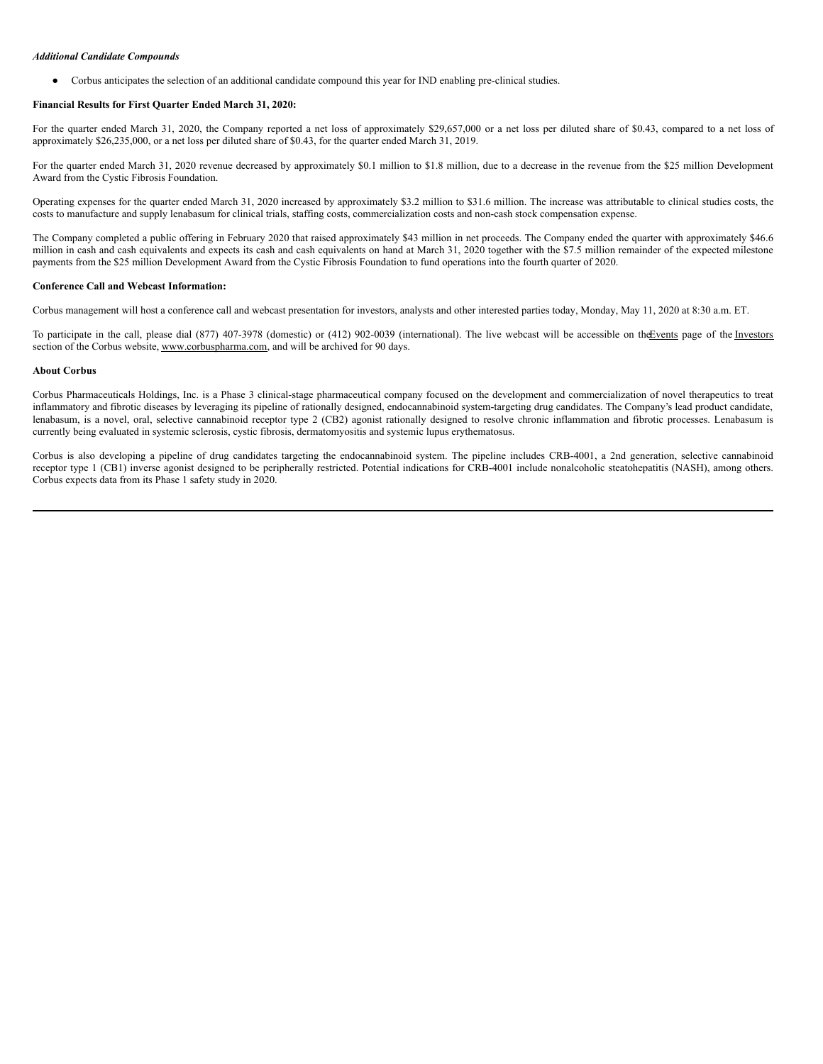#### <span id="page-6-0"></span>*Additional Candidate Compounds*

Corbus anticipates the selection of an additional candidate compound this year for IND enabling pre-clinical studies.

# **Financial Results for First Quarter Ended March 31, 2020:**

For the quarter ended March 31, 2020, the Company reported a net loss of approximately \$29,657,000 or a net loss per diluted share of \$0.43, compared to a net loss of approximately \$26,235,000, or a net loss per diluted share of \$0.43, for the quarter ended March 31, 2019.

For the quarter ended March 31, 2020 revenue decreased by approximately \$0.1 million to \$1.8 million, due to a decrease in the revenue from the \$25 million Development Award from the Cystic Fibrosis Foundation.

Operating expenses for the quarter ended March 31, 2020 increased by approximately \$3.2 million to \$31.6 million. The increase was attributable to clinical studies costs, the costs to manufacture and supply lenabasum for clinical trials, staffing costs, commercialization costs and non-cash stock compensation expense.

The Company completed a public offering in February 2020 that raised approximately \$43 million in net proceeds. The Company ended the quarter with approximately \$46.6 million in cash and cash equivalents and expects its cash and cash equivalents on hand at March 31, 2020 together with the \$7.5 million remainder of the expected milestone payments from the \$25 million Development Award from the Cystic Fibrosis Foundation to fund operations into the fourth quarter of 2020.

# **Conference Call and Webcast Information:**

Corbus management will host a conference call and webcast presentation for investors, analysts and other interested parties today, Monday, May 11, 2020 at 8:30 a.m. ET.

To participate in the call, please dial (877) 407-3978 (domestic) or (412) 902-0039 (international). The live webcast will be accessible on the Events page of the Investors section of the Corbus website, www.corbuspharma.com, and will be archived for 90 days.

### **About Corbus**

Corbus Pharmaceuticals Holdings, Inc. is a Phase 3 clinical-stage pharmaceutical company focused on the development and commercialization of novel therapeutics to treat inflammatory and fibrotic diseases by leveraging its pipeline of rationally designed, endocannabinoid system-targeting drug candidates. The Company's lead product candidate, lenabasum, is a novel, oral, selective cannabinoid receptor type 2 (CB2) agonist rationally designed to resolve chronic inflammation and fibrotic processes. Lenabasum is currently being evaluated in systemic sclerosis, cystic fibrosis, dermatomyositis and systemic lupus erythematosus.

Corbus is also developing a pipeline of drug candidates targeting the endocannabinoid system. The pipeline includes CRB-4001, a 2nd generation, selective cannabinoid receptor type 1 (CB1) inverse agonist designed to be peripherally restricted. Potential indications for CRB-4001 include nonalcoholic steatohepatitis (NASH), among others. Corbus expects data from its Phase 1 safety study in 2020.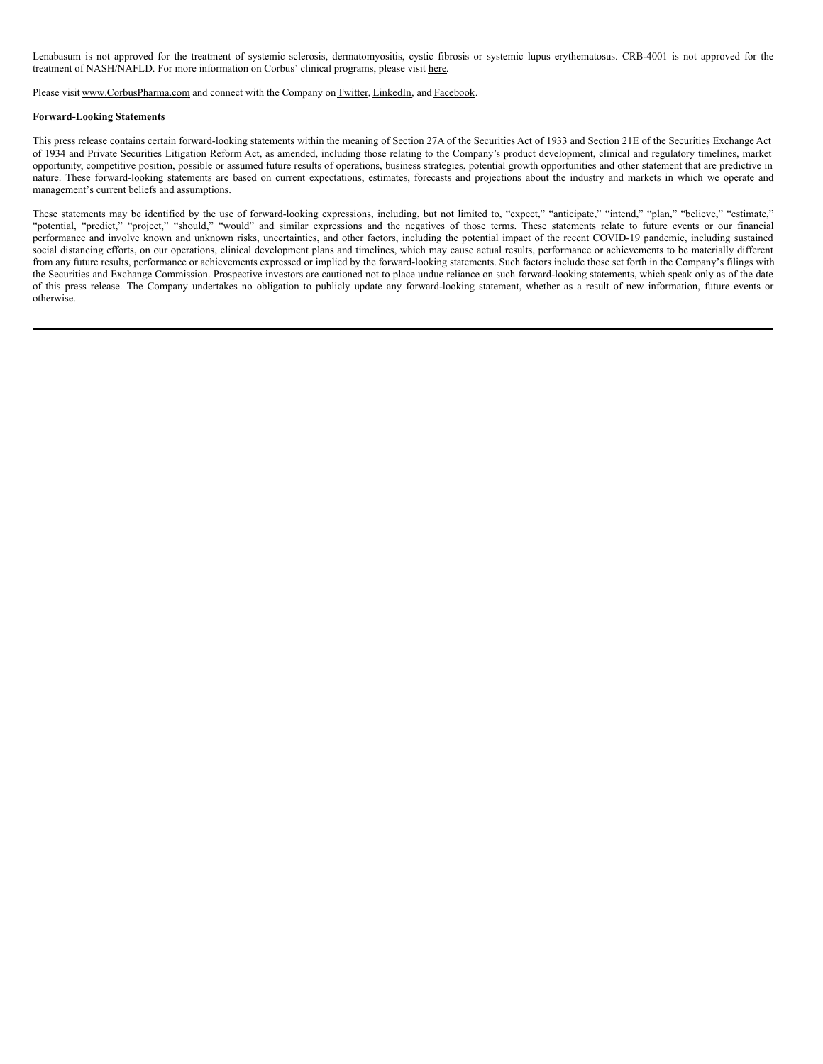Lenabasum is not approved for the treatment of systemic sclerosis, dermatomyositis, cystic fibrosis or systemic lupus erythematosus. CRB-4001 is not approved for the treatment of NASH/NAFLD. For more information on Corbus' clinical programs, please visit here.

Please visit www.CorbusPharma.com and connect with the Company on Twitter, LinkedIn, and Facebook.

### **Forward-Looking Statements**

This press release contains certain forward-looking statements within the meaning of Section 27A of the Securities Act of 1933 and Section 21E of the Securities Exchange Act of 1934 and Private Securities Litigation Reform Act, as amended, including those relating to the Company's product development, clinical and regulatory timelines, market opportunity, competitive position, possible or assumed future results of operations, business strategies, potential growth opportunities and other statement that are predictive in nature. These forward-looking statements are based on current expectations, estimates, forecasts and projections about the industry and markets in which we operate and management's current beliefs and assumptions.

These statements may be identified by the use of forward-looking expressions, including, but not limited to, "expect," "anticipate," "intend," "plan," "believe," "estimate," "potential, "predict," "project," "should," "would" and similar expressions and the negatives of those terms. These statements relate to future events or our financial performance and involve known and unknown risks, uncertainties, and other factors, including the potential impact of the recent COVID-19 pandemic, including sustained social distancing efforts, on our operations, clinical development plans and timelines, which may cause actual results, performance or achievements to be materially different from any future results, performance or achievements expressed or implied by the forward-looking statements. Such factors include those set forth in the Company's filings with the Securities and Exchange Commission. Prospective investors are cautioned not to place undue reliance on such forward-looking statements, which speak only as of the date of this press release. The Company undertakes no obligation to publicly update any forward-looking statement, whether as a result of new information, future events or otherwise.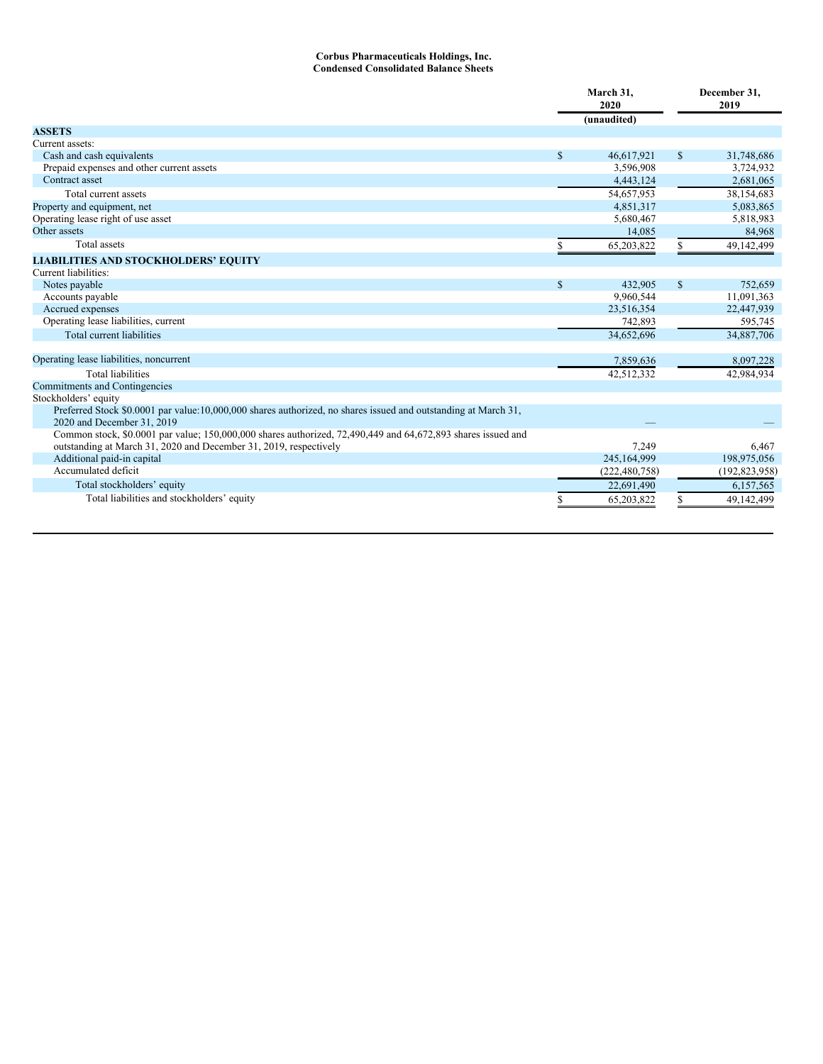#### **Corbus Pharmaceuticals Holdings, Inc. Condensed Consolidated Balance Sheets**

|                                                                                                                |               | March 31,<br>2020 |               | December 31,<br>2019 |  |
|----------------------------------------------------------------------------------------------------------------|---------------|-------------------|---------------|----------------------|--|
|                                                                                                                |               | (unaudited)       |               |                      |  |
| <b>ASSETS</b>                                                                                                  |               |                   |               |                      |  |
| Current assets:                                                                                                |               |                   |               |                      |  |
| Cash and cash equivalents                                                                                      | <sup>\$</sup> | 46,617,921        | $\mathbb{S}$  | 31,748,686           |  |
| Prepaid expenses and other current assets                                                                      |               | 3,596,908         |               | 3,724,932            |  |
| Contract asset                                                                                                 |               | 4,443,124         |               | 2,681,065            |  |
| Total current assets                                                                                           |               | 54,657,953        |               | 38,154,683           |  |
| Property and equipment, net                                                                                    |               | 4,851,317         |               | 5,083,865            |  |
| Operating lease right of use asset                                                                             |               | 5,680,467         |               | 5,818,983            |  |
| Other assets                                                                                                   |               | 14,085            |               | 84,968               |  |
| <b>Total</b> assets                                                                                            |               | 65,203,822        |               | 49,142,499           |  |
| <b>LIABILITIES AND STOCKHOLDERS' EQUITY</b>                                                                    |               |                   |               |                      |  |
| Current liabilities:                                                                                           |               |                   |               |                      |  |
| Notes payable                                                                                                  | $\mathcal{S}$ | 432,905           | $\mathcal{S}$ | 752,659              |  |
| Accounts payable                                                                                               |               | 9,960,544         |               | 11,091,363           |  |
| Accrued expenses                                                                                               |               | 23,516,354        |               | 22,447,939           |  |
| Operating lease liabilities, current                                                                           |               | 742,893           |               | 595,745              |  |
| <b>Total current liabilities</b>                                                                               |               | 34,652,696        |               | 34,887,706           |  |
| Operating lease liabilities, noncurrent                                                                        |               | 7,859,636         |               | 8,097,228            |  |
| <b>Total liabilities</b>                                                                                       |               | 42,512,332        |               | 42,984,934           |  |
| Commitments and Contingencies                                                                                  |               |                   |               |                      |  |
| Stockholders' equity                                                                                           |               |                   |               |                      |  |
| Preferred Stock \$0.0001 par value:10,000,000 shares authorized, no shares issued and outstanding at March 31, |               |                   |               |                      |  |
| 2020 and December 31, 2019                                                                                     |               |                   |               |                      |  |
| Common stock, \$0.0001 par value; 150,000,000 shares authorized, 72,490,449 and 64,672,893 shares issued and   |               |                   |               |                      |  |
| outstanding at March 31, 2020 and December 31, 2019, respectively                                              |               | 7,249             |               | 6.467                |  |
| Additional paid-in capital                                                                                     |               | 245,164,999       |               | 198,975,056          |  |
| Accumulated deficit                                                                                            |               | (222, 480, 758)   |               | (192, 823, 958)      |  |
| Total stockholders' equity                                                                                     |               | 22,691,490        |               | 6,157,565            |  |
| Total liabilities and stockholders' equity                                                                     |               | 65,203,822        |               | 49,142,499           |  |